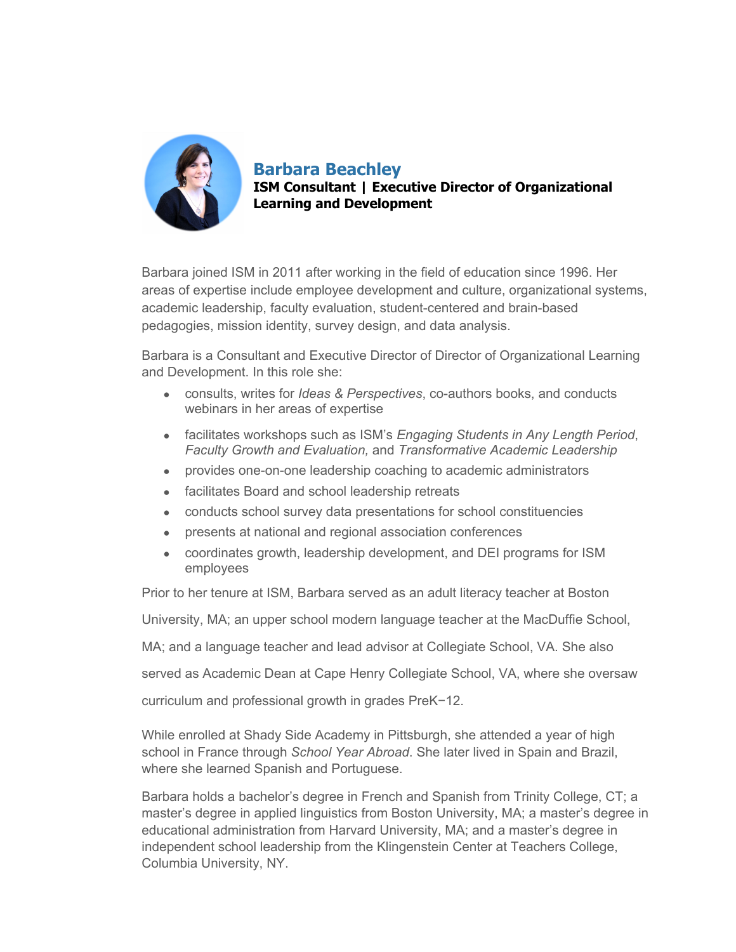

**Barbara Beachley ISM Consultant | Executive Director of Organizational Learning and Development** 

Barbara joined ISM in 2011 after working in the field of education since 1996. Her areas of expertise include employee development and culture, organizational systems, academic leadership, faculty evaluation, student-centered and brain-based pedagogies, mission identity, survey design, and data analysis.

Barbara is a Consultant and Executive Director of Director of Organizational Learning and Development. In this role she:

- consults, writes for *Ideas & Perspectives*, co-authors books, and conducts webinars in her areas of expertise
- facilitates workshops such as ISM's *Engaging Students in Any Length Period*, *Faculty Growth and Evaluation,* and *Transformative Academic Leadership*
- provides one-on-one leadership coaching to academic administrators
- facilitates Board and school leadership retreats
- conducts school survey data presentations for school constituencies
- presents at national and regional association conferences
- coordinates growth, leadership development, and DEI programs for ISM employees

Prior to her tenure at ISM, Barbara served as an adult literacy teacher at Boston

University, MA; an upper school modern language teacher at the MacDuffie School,

MA; and a language teacher and lead advisor at Collegiate School, VA. She also

served as Academic Dean at Cape Henry Collegiate School, VA, where she oversaw

curriculum and professional growth in grades PreK-12.

While enrolled at Shady Side Academy in Pittsburgh, she attended a year of high school in France through *School Year Abroad*. She later lived in Spain and Brazil, where she learned Spanish and Portuguese.

Barbara holds a bachelor's degree in French and Spanish from Trinity College, CT; a master's degree in applied linguistics from Boston University, MA; a master's degree in educational administration from Harvard University, MA; and a master's degree in independent school leadership from the Klingenstein Center at Teachers College, Columbia University, NY.